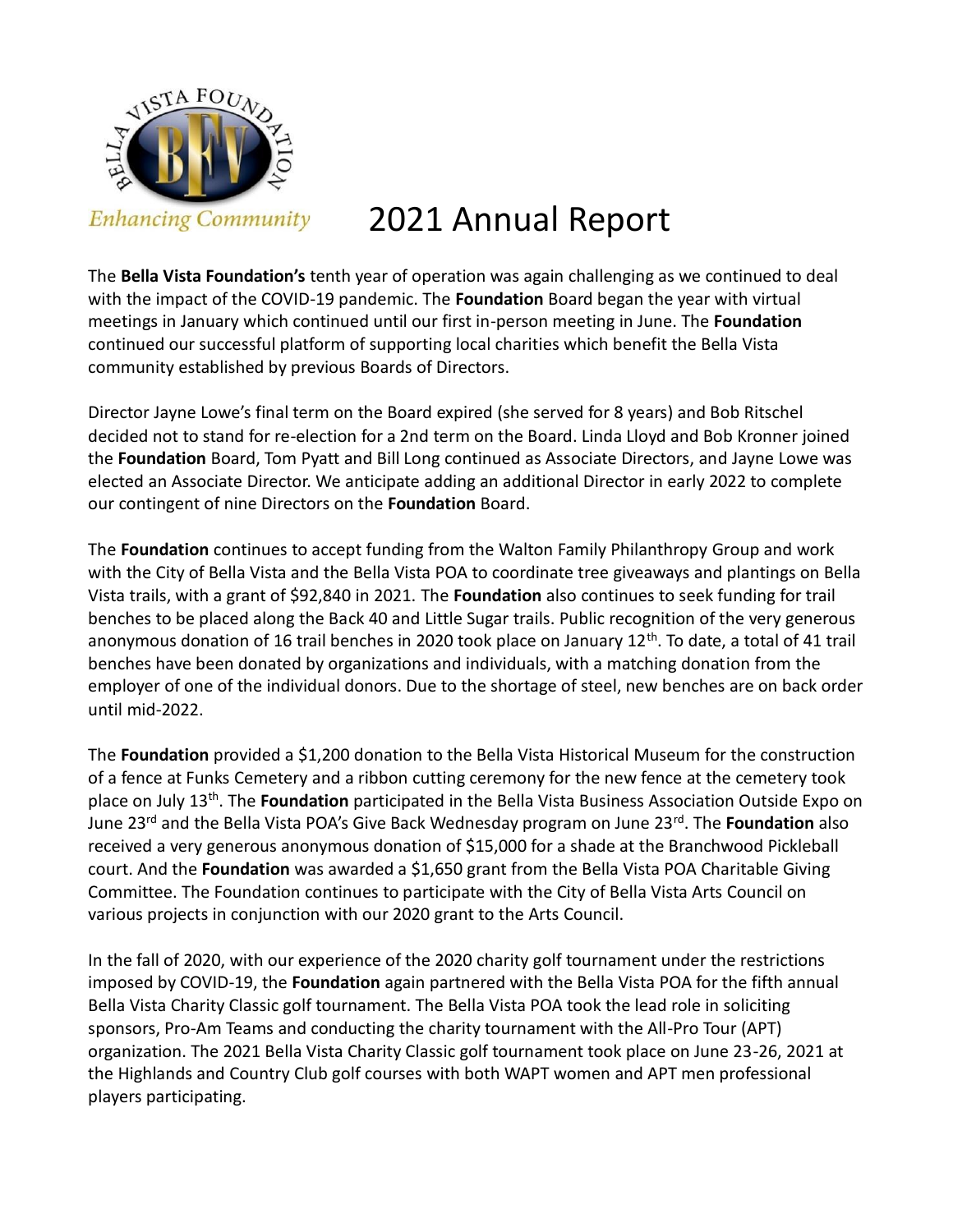

## 2021 Annual Report

The **Bella Vista Foundation's** tenth year of operation was again challenging as we continued to deal with the impact of the COVID-19 pandemic. The **Foundation** Board began the year with virtual meetings in January which continued until our first in-person meeting in June. The **Foundation**  continued our successful platform of supporting local charities which benefit the Bella Vista community established by previous Boards of Directors.

Director Jayne Lowe's final term on the Board expired (she served for 8 years) and Bob Ritschel decided not to stand for re-election for a 2nd term on the Board. Linda Lloyd and Bob Kronner joined the **Foundation** Board, Tom Pyatt and Bill Long continued as Associate Directors, and Jayne Lowe was elected an Associate Director. We anticipate adding an additional Director in early 2022 to complete our contingent of nine Directors on the **Foundation** Board.

The **Foundation** continues to accept funding from the Walton Family Philanthropy Group and work with the City of Bella Vista and the Bella Vista POA to coordinate tree giveaways and plantings on Bella Vista trails, with a grant of \$92,840 in 2021. The **Foundation** also continues to seek funding for trail benches to be placed along the Back 40 and Little Sugar trails. Public recognition of the very generous anonymous donation of 16 trail benches in 2020 took place on January 12<sup>th</sup>. To date, a total of 41 trail benches have been donated by organizations and individuals, with a matching donation from the employer of one of the individual donors. Due to the shortage of steel, new benches are on back order until mid-2022.

The **Foundation** provided a \$1,200 donation to the Bella Vista Historical Museum for the construction of a fence at Funks Cemetery and a ribbon cutting ceremony for the new fence at the cemetery took place on July 13th. The **Foundation** participated in the Bella Vista Business Association Outside Expo on June 23rd and the Bella Vista POA's Give Back Wednesday program on June 23rd. The **Foundation** also received a very generous anonymous donation of \$15,000 for a shade at the Branchwood Pickleball court. And the **Foundation** was awarded a \$1,650 grant from the Bella Vista POA Charitable Giving Committee. The Foundation continues to participate with the City of Bella Vista Arts Council on various projects in conjunction with our 2020 grant to the Arts Council.

In the fall of 2020, with our experience of the 2020 charity golf tournament under the restrictions imposed by COVID-19, the **Foundation** again partnered with the Bella Vista POA for the fifth annual Bella Vista Charity Classic golf tournament. The Bella Vista POA took the lead role in soliciting sponsors, Pro-Am Teams and conducting the charity tournament with the All-Pro Tour (APT) organization. The 2021 Bella Vista Charity Classic golf tournament took place on June 23-26, 2021 at the Highlands and Country Club golf courses with both WAPT women and APT men professional players participating.